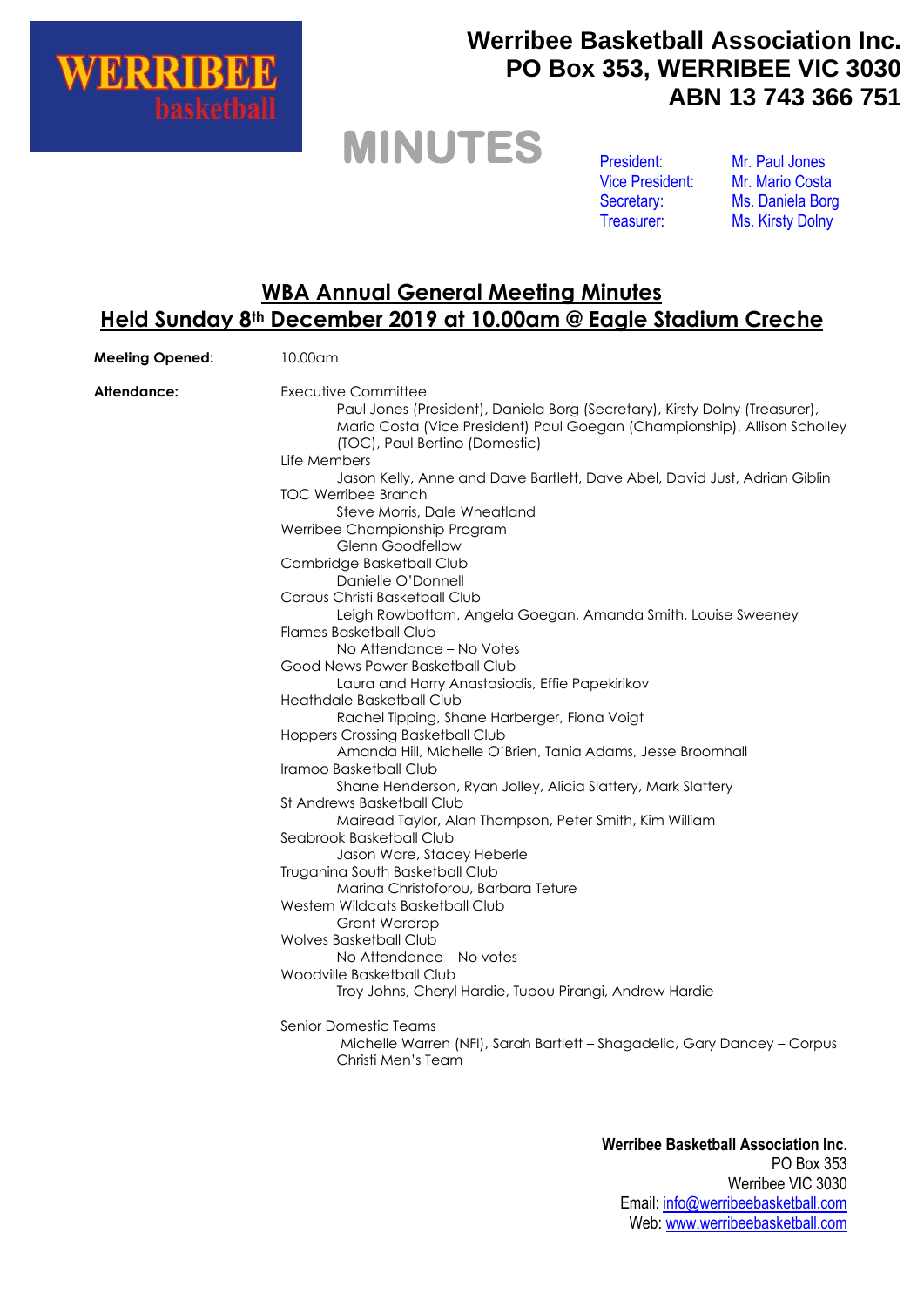

### **Werribee Basketball Association Inc. PO Box 353, WERRIBEE VIC 3030 ABN 13 743 366 751**

### **MINUTES**

President: Vice President: Secretary: Treasurer:

Mr. Paul Jones Mr. Mario Costa Ms. Daniela Borg Ms. Kirsty Dolny

#### **WBA Annual General Meeting Minutes Held Sunday 8th December 2019 at 10.00am @ Eagle Stadium Creche**

| <b>Meeting Opened:</b> | 10.00am                                                                                                                                                                                                                                        |
|------------------------|------------------------------------------------------------------------------------------------------------------------------------------------------------------------------------------------------------------------------------------------|
| Attendance:            | Executive Committee<br>Paul Jones (President), Daniela Borg (Secretary), Kirsty Dolny (Treasurer),<br>Mario Costa (Vice President) Paul Goegan (Championship), Allison Scholley<br>(TOC), Paul Bertino (Domestic)<br>Life Members              |
|                        | Jason Kelly, Anne and Dave Bartlett, Dave Abel, David Just, Adrian Giblin<br><b>TOC Werribee Branch</b><br>Steve Morris, Dale Wheatland<br>Werribee Championship Program<br><b>Glenn Goodfellow</b><br>Cambridge Basketball Club               |
|                        | Danielle O'Donnell<br>Corpus Christi Basketball Club<br>Leigh Rowbottom, Angela Goegan, Amanda Smith, Louise Sweeney<br>Flames Basketball Club<br>No Attendance - No Votes                                                                     |
|                        | Good News Power Basketball Club<br>Laura and Harry Anastasiodis, Effie Papekirikov<br>Heathdale Basketball Club<br>Rachel Tipping, Shane Harberger, Fiona Voigt<br>Hoppers Crossing Basketball Club                                            |
|                        | Amanda Hill, Michelle O'Brien, Tania Adams, Jesse Broomhall<br>Iramoo Basketball Club<br>Shane Henderson, Ryan Jolley, Alicia Slattery, Mark Slattery<br>St Andrews Basketball Club<br>Mairead Taylor, Alan Thompson, Peter Smith, Kim William |
|                        | Seabrook Basketball Club<br>Jason Ware, Stacey Heberle<br>Truganina South Basketball Club<br>Marina Christoforou, Barbara Teture<br>Western Wildcats Basketball Club                                                                           |
|                        | Grant Wardrop<br><b>Wolves Basketball Club</b><br>No Attendance – No votes<br>Woodville Basketball Club<br>Troy Johns, Cheryl Hardie, Tupou Pirangi, Andrew Hardie                                                                             |
|                        | Senior Domestic Teams<br>Michelle Warren (NFI), Sarah Bartlett - Shagadelic, Gary Dancey - Corpus<br>Christi Men's Team                                                                                                                        |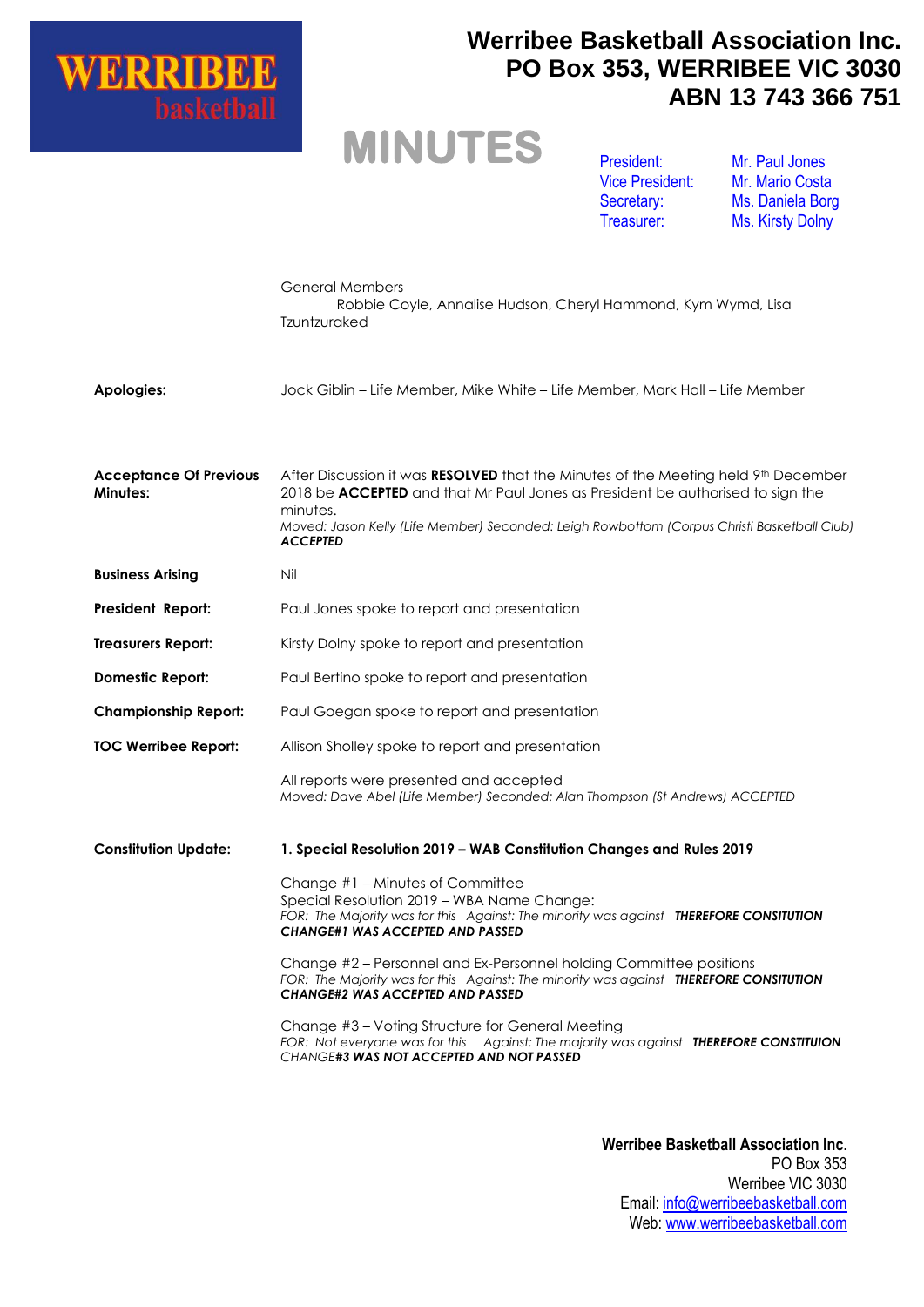

### **Werribee Basketball Association Inc. PO Box 353, WERRIBEE VIC 3030 ABN 13 743 366 751**

# **MINUTES**

President: Vice President: Secretary: Treasurer:

Mr. Paul Jones Mr. Mario Costa Ms. Daniela Borg Ms. Kirsty Dolny

|                                           | <b>General Members</b><br>Robbie Coyle, Annalise Hudson, Cheryl Hammond, Kym Wymd, Lisa<br>Tzuntzuraked                                                                                                                                                                                            |
|-------------------------------------------|----------------------------------------------------------------------------------------------------------------------------------------------------------------------------------------------------------------------------------------------------------------------------------------------------|
| Apologies:                                | Jock Giblin – Life Member, Mike White – Life Member, Mark Hall – Life Member                                                                                                                                                                                                                       |
| <b>Acceptance Of Previous</b><br>Minutes: | After Discussion it was RESOLVED that the Minutes of the Meeting held 9th December<br>2018 be ACCEPTED and that Mr Paul Jones as President be authorised to sign the<br>minutes.<br>Moved: Jason Kelly (Life Member) Seconded: Leigh Rowbottom (Corpus Christi Basketball Club)<br><b>ACCEPTED</b> |
| <b>Business Arising</b>                   | Nil                                                                                                                                                                                                                                                                                                |
| <b>President Report:</b>                  | Paul Jones spoke to report and presentation                                                                                                                                                                                                                                                        |
| <b>Treasurers Report:</b>                 | Kirsty Dolny spoke to report and presentation                                                                                                                                                                                                                                                      |
| <b>Domestic Report:</b>                   | Paul Bertino spoke to report and presentation                                                                                                                                                                                                                                                      |
| <b>Championship Report:</b>               | Paul Goegan spoke to report and presentation                                                                                                                                                                                                                                                       |
| <b>TOC Werribee Report:</b>               | Allison Sholley spoke to report and presentation                                                                                                                                                                                                                                                   |
|                                           | All reports were presented and accepted<br>Moved: Dave Abel (Life Member) Seconded: Alan Thompson (St Andrews) ACCEPTED                                                                                                                                                                            |
| <b>Constitution Update:</b>               | 1. Special Resolution 2019 - WAB Constitution Changes and Rules 2019                                                                                                                                                                                                                               |
|                                           | Change #1 – Minutes of Committee<br>Special Resolution 2019 - WBA Name Change:<br>FOR: The Majority was for this Against: The minority was against THEREFORE CONSITUTION<br><b>CHANGE#1 WAS ACCEPTED AND PASSED</b>                                                                                |
|                                           | Change #2 - Personnel and Ex-Personnel holding Committee positions<br>FOR: The Majority was for this Against: The minority was against THEREFORE CONSITUTION<br><b>CHANGE#2 WAS ACCEPTED AND PASSED</b>                                                                                            |
|                                           | Change #3 - Voting Structure for General Meeting<br>FOR: Not everyone was for this  Against: The majority was against THEREFORE CONSTITUION<br>CHANGE#3 WAS NOT ACCEPTED AND NOT PASSED                                                                                                            |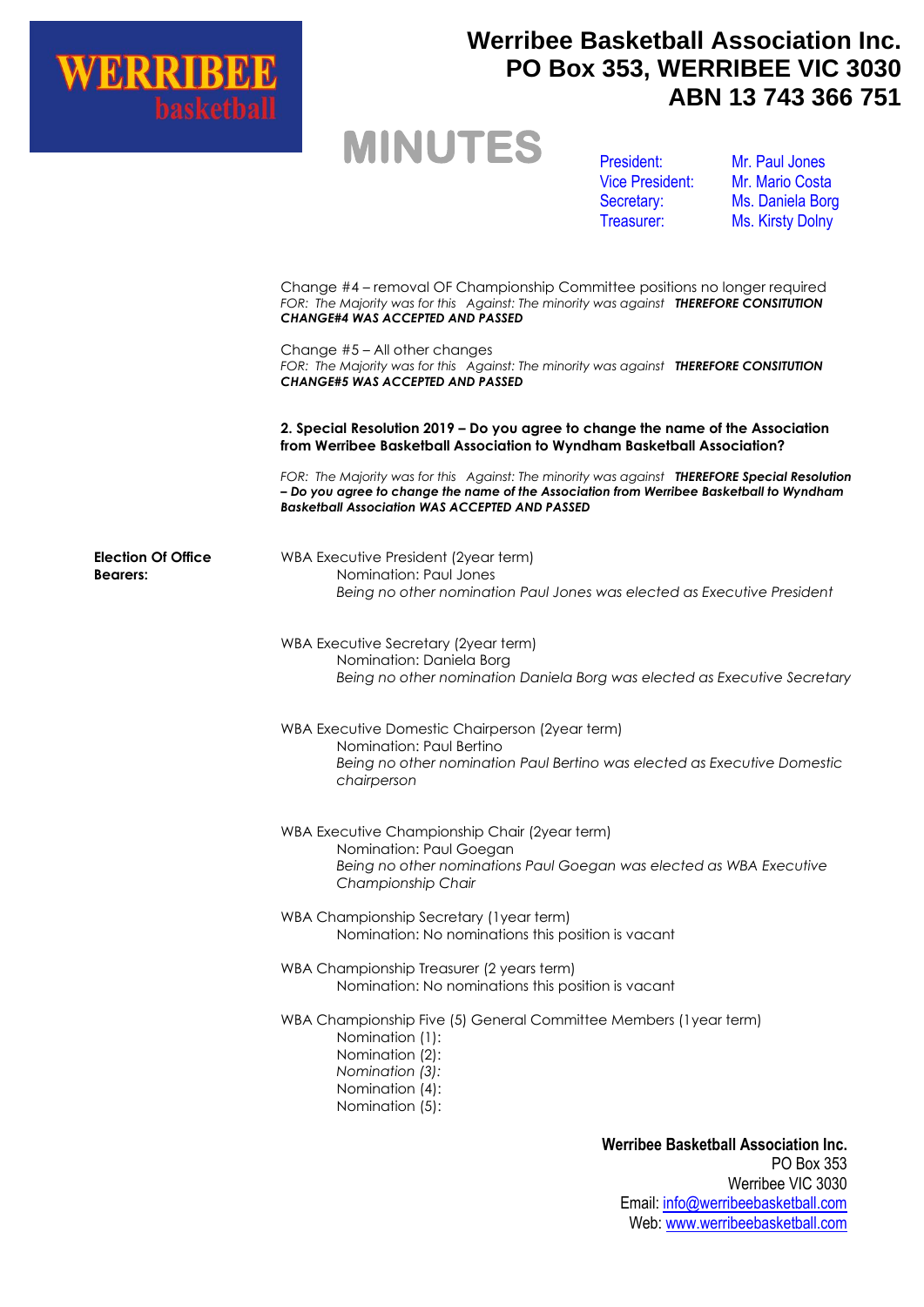

**Election Of Office** 

**Bearers:**

### **Werribee Basketball Association Inc. PO Box 353, WERRIBEE VIC 3030 ABN 13 743 366 751**

## **MINUTES**

President: Vice President: Secretary: Treasurer:

Mr. Paul Jones Mr. Mario Costa Ms. Daniela Borg Ms. Kirsty Dolny

Change #4 – removal OF Championship Committee positions no longer required *FOR: The Majority was for this Against: The minority was against THEREFORE CONSITUTION CHANGE#4 WAS ACCEPTED AND PASSED*

Change #5 – All other changes *FOR: The Majority was for this Against: The minority was against THEREFORE CONSITUTION CHANGE#5 WAS ACCEPTED AND PASSED*

**2. Special Resolution 2019 – Do you agree to change the name of the Association from Werribee Basketball Association to Wyndham Basketball Association?**

*FOR: The Majority was for this Against: The minority was against THEREFORE Special Resolution – Do you agree to change the name of the Association from Werribee Basketball to Wyndham Basketball Association WAS ACCEPTED AND PASSED*

WBA Executive President (2year term) Nomination: Paul Jones *Being no other nomination Paul Jones was elected as Executive President*

WBA Executive Secretary (2year term) Nomination: Daniela Borg *Being no other nomination Daniela Borg was elected as Executive Secretary*

WBA Executive Domestic Chairperson (2year term) Nomination: Paul Bertino *Being no other nomination Paul Bertino was elected as Executive Domestic chairperson*

- WBA Executive Championship Chair (2year term) Nomination: Paul Goegan *Being no other nominations Paul Goegan was elected as WBA Executive Championship Chair*
- WBA Championship Secretary (1year term) Nomination: No nominations this position is vacant
- WBA Championship Treasurer (2 years term) Nomination: No nominations this position is vacant
- WBA Championship Five (5) General Committee Members (1year term)
	- Nomination (1):
	- Nomination (2):
	- *Nomination (3):*
	- Nomination (4):
	- Nomination (5):